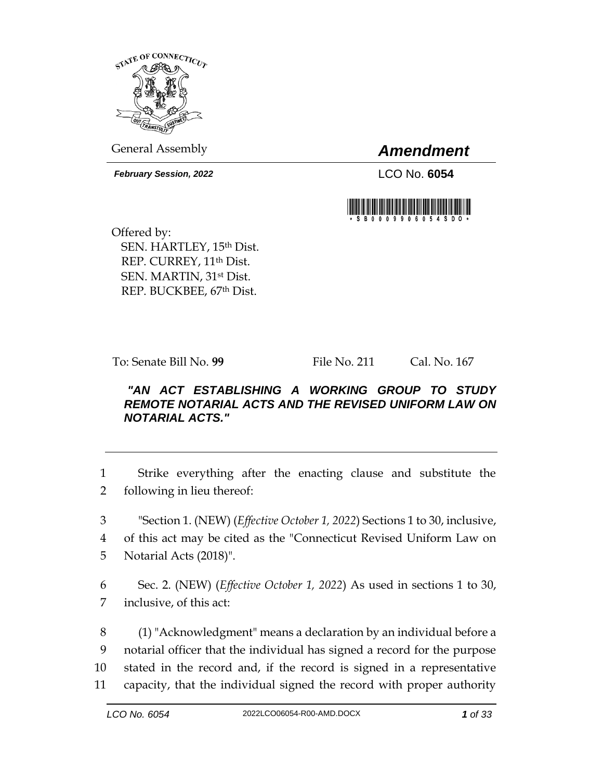

General Assembly *Amendment*

*February Session, 2022* LCO No. **6054**



Offered by: SEN. HARTLEY, 15th Dist. REP. CURREY, 11th Dist. SEN. MARTIN, 31st Dist. REP. BUCKBEE, 67th Dist.

To: Senate Bill No. **99** File No. 211 Cal. No. 167

## *"AN ACT ESTABLISHING A WORKING GROUP TO STUDY REMOTE NOTARIAL ACTS AND THE REVISED UNIFORM LAW ON NOTARIAL ACTS."*

1 Strike everything after the enacting clause and substitute the 2 following in lieu thereof:

3 "Section 1. (NEW) (*Effective October 1, 2022*) Sections 1 to 30, inclusive,

4 of this act may be cited as the "Connecticut Revised Uniform Law on

5 Notarial Acts (2018)".

6 Sec. 2. (NEW) (*Effective October 1, 2022*) As used in sections 1 to 30, 7 inclusive, of this act:

 (1) "Acknowledgment" means a declaration by an individual before a notarial officer that the individual has signed a record for the purpose stated in the record and, if the record is signed in a representative capacity, that the individual signed the record with proper authority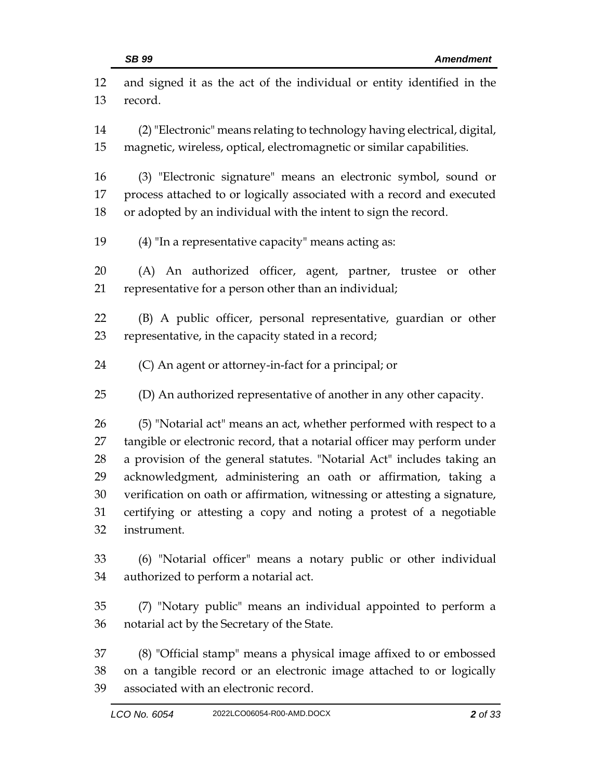| 12 | and signed it as the act of the individual or entity identified in the    |
|----|---------------------------------------------------------------------------|
| 13 | record.                                                                   |
| 14 | (2) "Electronic" means relating to technology having electrical, digital, |
| 15 | magnetic, wireless, optical, electromagnetic or similar capabilities.     |
| 16 | (3) "Electronic signature" means an electronic symbol, sound or           |
| 17 | process attached to or logically associated with a record and executed    |
| 18 | or adopted by an individual with the intent to sign the record.           |
| 19 | (4) "In a representative capacity" means acting as:                       |
| 20 | (A) An authorized officer, agent, partner, trustee or other               |
| 21 | representative for a person other than an individual;                     |
| 22 | (B) A public officer, personal representative, guardian or other          |
| 23 | representative, in the capacity stated in a record;                       |
| 24 | (C) An agent or attorney-in-fact for a principal; or                      |
| 25 | (D) An authorized representative of another in any other capacity.        |
| 26 | (5) "Notarial act" means an act, whether performed with respect to a      |
| 27 | tangible or electronic record, that a notarial officer may perform under  |
| 28 | a provision of the general statutes. "Notarial Act" includes taking an    |
| 29 | acknowledgment, administering an oath or affirmation, taking a            |
| 30 | verification on oath or affirmation, witnessing or attesting a signature, |
| 31 | certifying or attesting a copy and noting a protest of a negotiable       |
| 32 | instrument.                                                               |
| 33 | (6) "Notarial officer" means a notary public or other individual          |
| 34 | authorized to perform a notarial act.                                     |
| 35 | (7) "Notary public" means an individual appointed to perform a            |
| 36 | notarial act by the Secretary of the State.                               |
| 37 | (8) "Official stamp" means a physical image affixed to or embossed        |
| 38 | on a tangible record or an electronic image attached to or logically      |
| 39 | associated with an electronic record.                                     |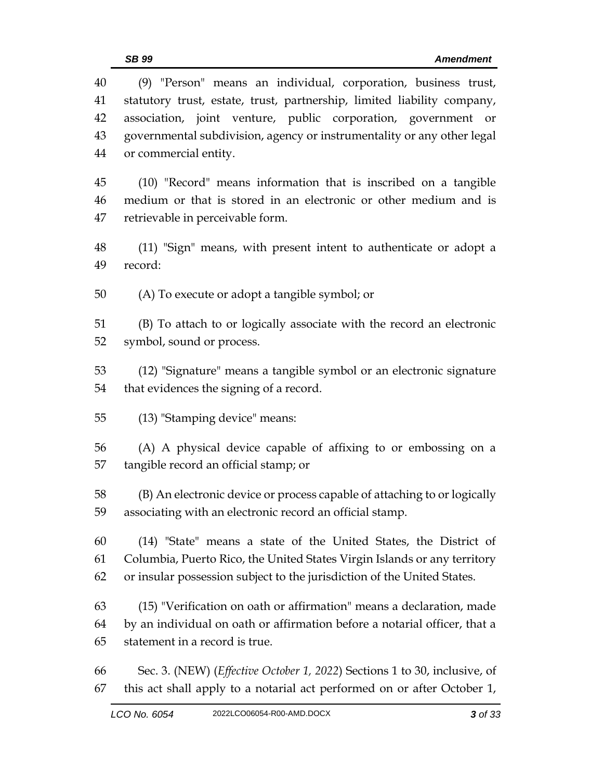| 40<br>41 | (9) "Person" means an individual, corporation, business trust,<br>statutory trust, estate, trust, partnership, limited liability company, |
|----------|-------------------------------------------------------------------------------------------------------------------------------------------|
| 42       | association, joint venture, public corporation, government or                                                                             |
| 43       | governmental subdivision, agency or instrumentality or any other legal                                                                    |
| 44       | or commercial entity.                                                                                                                     |
| 45       | (10) "Record" means information that is inscribed on a tangible                                                                           |
| 46       | medium or that is stored in an electronic or other medium and is                                                                          |
| 47       | retrievable in perceivable form.                                                                                                          |
| 48       | (11) "Sign" means, with present intent to authenticate or adopt a                                                                         |
| 49       | record:                                                                                                                                   |
| 50       | (A) To execute or adopt a tangible symbol; or                                                                                             |
| 51       | (B) To attach to or logically associate with the record an electronic                                                                     |
| 52       | symbol, sound or process.                                                                                                                 |
| 53       | (12) "Signature" means a tangible symbol or an electronic signature                                                                       |
| 54       | that evidences the signing of a record.                                                                                                   |
| 55       | (13) "Stamping device" means:                                                                                                             |
| 56       | (A) A physical device capable of affixing to or embossing on a                                                                            |
| 57       | tangible record an official stamp; or                                                                                                     |
| 58       | (B) An electronic device or process capable of attaching to or logically                                                                  |
| 59       | associating with an electronic record an official stamp.                                                                                  |
| 60       | (14) "State" means a state of the United States, the District of                                                                          |
| 61       | Columbia, Puerto Rico, the United States Virgin Islands or any territory                                                                  |
| 62       | or insular possession subject to the jurisdiction of the United States.                                                                   |
| 63       | (15) "Verification on oath or affirmation" means a declaration, made                                                                      |
| 64       | by an individual on oath or affirmation before a notarial officer, that a                                                                 |
| 65       | statement in a record is true.                                                                                                            |
| 66       | Sec. 3. (NEW) ( <i>Effective October 1, 2022</i> ) Sections 1 to 30, inclusive, of                                                        |
| 67       | this act shall apply to a notarial act performed on or after October 1,                                                                   |
|          |                                                                                                                                           |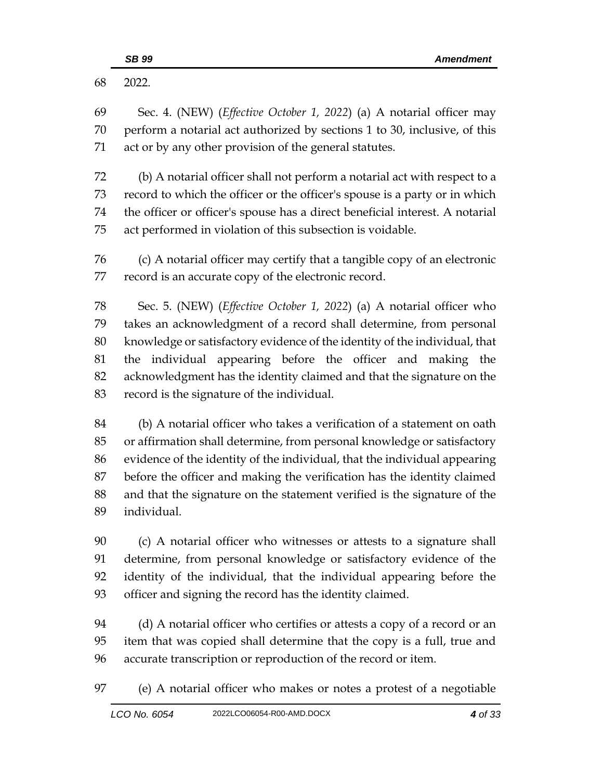| 68       | 2022.                                                                                                                                                      |
|----------|------------------------------------------------------------------------------------------------------------------------------------------------------------|
| 69<br>70 | Sec. 4. (NEW) ( <i>Effective October 1, 2022</i> ) (a) A notarial officer may<br>perform a notarial act authorized by sections 1 to 30, inclusive, of this |
| 71       | act or by any other provision of the general statutes.                                                                                                     |
| 72       | (b) A notarial officer shall not perform a notarial act with respect to a                                                                                  |
| 73       | record to which the officer or the officer's spouse is a party or in which                                                                                 |
| 74       | the officer or officer's spouse has a direct beneficial interest. A notarial                                                                               |
| 75       | act performed in violation of this subsection is voidable.                                                                                                 |
| 76       | (c) A notarial officer may certify that a tangible copy of an electronic                                                                                   |
| 77       | record is an accurate copy of the electronic record.                                                                                                       |
| 78       | Sec. 5. (NEW) ( <i>Effective October 1, 2022</i> ) (a) A notarial officer who                                                                              |
| 79       | takes an acknowledgment of a record shall determine, from personal                                                                                         |
| 80       | knowledge or satisfactory evidence of the identity of the individual, that                                                                                 |
| 81       | individual appearing before the officer and making the<br>the                                                                                              |
| 82       | acknowledgment has the identity claimed and that the signature on the                                                                                      |
| 83       | record is the signature of the individual.                                                                                                                 |
| 84       | (b) A notarial officer who takes a verification of a statement on oath                                                                                     |
| 85       | or affirmation shall determine, from personal knowledge or satisfactory                                                                                    |
| 86       | evidence of the identity of the individual, that the individual appearing                                                                                  |
| 87       | before the officer and making the verification has the identity claimed                                                                                    |
| 88       | and that the signature on the statement verified is the signature of the                                                                                   |
| 89       | individual.                                                                                                                                                |
| 90       | (c) A notarial officer who witnesses or attests to a signature shall                                                                                       |
| 91       | determine, from personal knowledge or satisfactory evidence of the                                                                                         |
| 92       | identity of the individual, that the individual appearing before the                                                                                       |
| 93       | officer and signing the record has the identity claimed.                                                                                                   |
| 94       | (d) A notarial officer who certifies or attests a copy of a record or an                                                                                   |
| 95       | item that was copied shall determine that the copy is a full, true and                                                                                     |
| 96       | accurate transcription or reproduction of the record or item.                                                                                              |
| 97       | (e) A notarial officer who makes or notes a protest of a negotiable                                                                                        |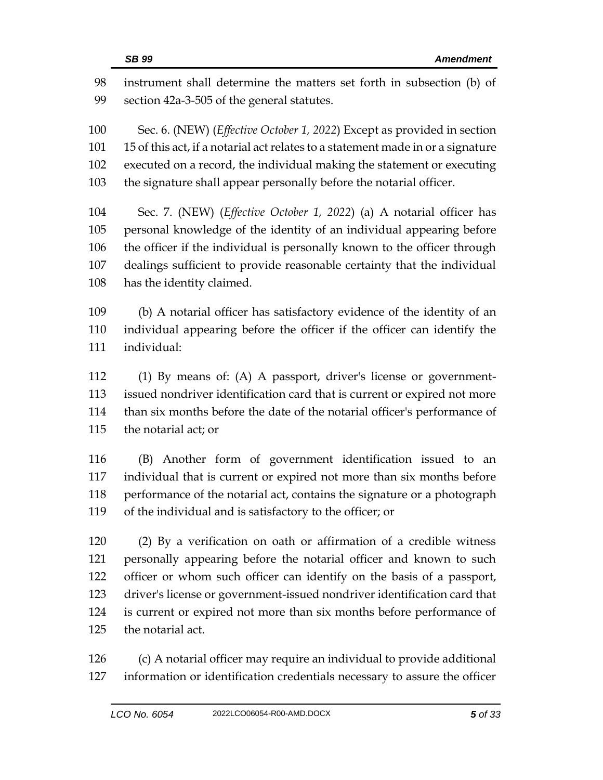| 98  | instrument shall determine the matters set forth in subsection (b) of            |
|-----|----------------------------------------------------------------------------------|
| 99  | section 42a-3-505 of the general statutes.                                       |
| 100 | Sec. 6. (NEW) ( <i>Effective October 1, 2022</i> ) Except as provided in section |
| 101 | 15 of this act, if a notarial act relates to a statement made in or a signature  |
| 102 | executed on a record, the individual making the statement or executing           |
| 103 | the signature shall appear personally before the notarial officer.               |
| 104 | Sec. 7. (NEW) ( <i>Effective October 1, 2022</i> ) (a) A notarial officer has    |
| 105 | personal knowledge of the identity of an individual appearing before             |
| 106 | the officer if the individual is personally known to the officer through         |
| 107 | dealings sufficient to provide reasonable certainty that the individual          |
| 108 | has the identity claimed.                                                        |
| 109 | (b) A notarial officer has satisfactory evidence of the identity of an           |
| 110 | individual appearing before the officer if the officer can identify the          |
| 111 | individual:                                                                      |
| 112 | (1) By means of: (A) A passport, driver's license or government-                 |
| 113 | issued nondriver identification card that is current or expired not more         |
| 114 | than six months before the date of the notarial officer's performance of         |
| 115 | the notarial act; or                                                             |
| 116 | (B) Another form of government identification issued to an                       |
| 117 | individual that is current or expired not more than six months before            |
| 118 | performance of the notarial act, contains the signature or a photograph          |
| 119 | of the individual and is satisfactory to the officer; or                         |
| 120 | (2) By a verification on oath or affirmation of a credible witness               |
| 121 | personally appearing before the notarial officer and known to such               |
| 122 | officer or whom such officer can identify on the basis of a passport,            |
| 123 | driver's license or government-issued nondriver identification card that         |
| 124 | is current or expired not more than six months before performance of             |
| 125 | the notarial act.                                                                |
|     |                                                                                  |

 (c) A notarial officer may require an individual to provide additional information or identification credentials necessary to assure the officer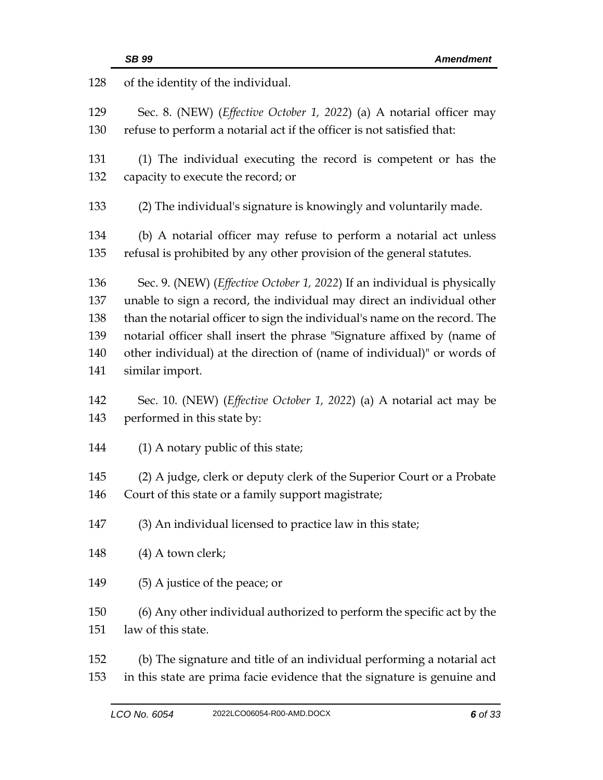| 128        | of the identity of the individual.                                                                                                                      |
|------------|---------------------------------------------------------------------------------------------------------------------------------------------------------|
| 129<br>130 | Sec. 8. (NEW) ( <i>Effective October 1, 2022</i> ) (a) A notarial officer may<br>refuse to perform a notarial act if the officer is not satisfied that: |
|            |                                                                                                                                                         |
| 131        | (1) The individual executing the record is competent or has the                                                                                         |
| 132        | capacity to execute the record; or                                                                                                                      |
| 133        | (2) The individual's signature is knowingly and voluntarily made.                                                                                       |
| 134        | (b) A notarial officer may refuse to perform a notarial act unless                                                                                      |
| 135        | refusal is prohibited by any other provision of the general statutes.                                                                                   |
| 136        | Sec. 9. (NEW) ( <i>Effective October 1, 2022</i> ) If an individual is physically                                                                       |
| 137        | unable to sign a record, the individual may direct an individual other                                                                                  |
| 138        | than the notarial officer to sign the individual's name on the record. The                                                                              |
| 139        | notarial officer shall insert the phrase "Signature affixed by (name of                                                                                 |
| 140        | other individual) at the direction of (name of individual)" or words of                                                                                 |
| 141        | similar import.                                                                                                                                         |
| 142        | Sec. 10. (NEW) ( <i>Effective October 1, 2022</i> ) (a) A notarial act may be                                                                           |
| 143        | performed in this state by:                                                                                                                             |
| 144        | $(1)$ A notary public of this state;                                                                                                                    |
| 145        | (2) A judge, clerk or deputy clerk of the Superior Court or a Probate                                                                                   |
| 146        | Court of this state or a family support magistrate;                                                                                                     |
| 147        | (3) An individual licensed to practice law in this state;                                                                                               |
| 148        | (4) A town clerk;                                                                                                                                       |
| 149        | (5) A justice of the peace; or                                                                                                                          |
| 150        | (6) Any other individual authorized to perform the specific act by the                                                                                  |
| 151        | law of this state.                                                                                                                                      |
| 152        | (b) The signature and title of an individual performing a notarial act                                                                                  |
| 153        | in this state are prima facie evidence that the signature is genuine and                                                                                |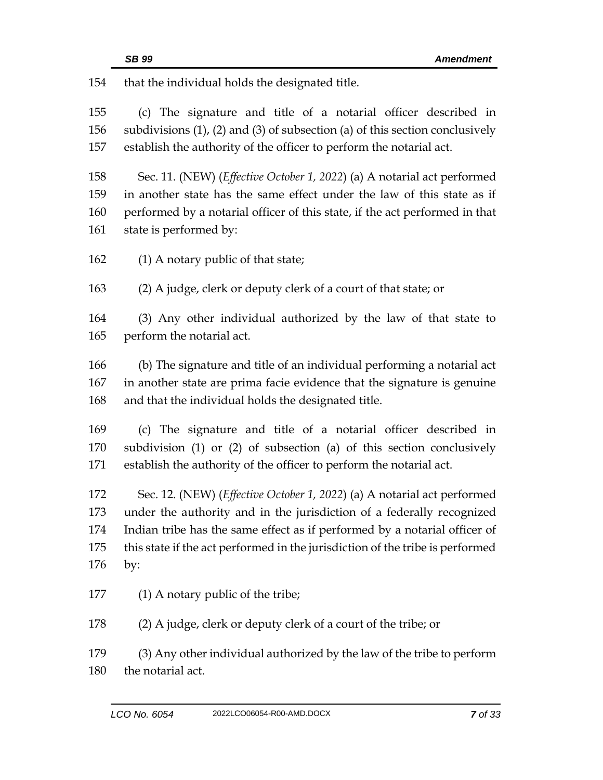that the individual holds the designated title.

 (c) The signature and title of a notarial officer described in subdivisions (1), (2) and (3) of subsection (a) of this section conclusively establish the authority of the officer to perform the notarial act.

 Sec. 11. (NEW) (*Effective October 1, 2022*) (a) A notarial act performed in another state has the same effect under the law of this state as if performed by a notarial officer of this state, if the act performed in that state is performed by:

162 (1) A notary public of that state;

(2) A judge, clerk or deputy clerk of a court of that state; or

 (3) Any other individual authorized by the law of that state to perform the notarial act.

 (b) The signature and title of an individual performing a notarial act in another state are prima facie evidence that the signature is genuine and that the individual holds the designated title.

 (c) The signature and title of a notarial officer described in subdivision (1) or (2) of subsection (a) of this section conclusively establish the authority of the officer to perform the notarial act.

 Sec. 12. (NEW) (*Effective October 1, 2022*) (a) A notarial act performed under the authority and in the jurisdiction of a federally recognized Indian tribe has the same effect as if performed by a notarial officer of this state if the act performed in the jurisdiction of the tribe is performed by:

177 (1) A notary public of the tribe;

(2) A judge, clerk or deputy clerk of a court of the tribe; or

 (3) Any other individual authorized by the law of the tribe to perform the notarial act.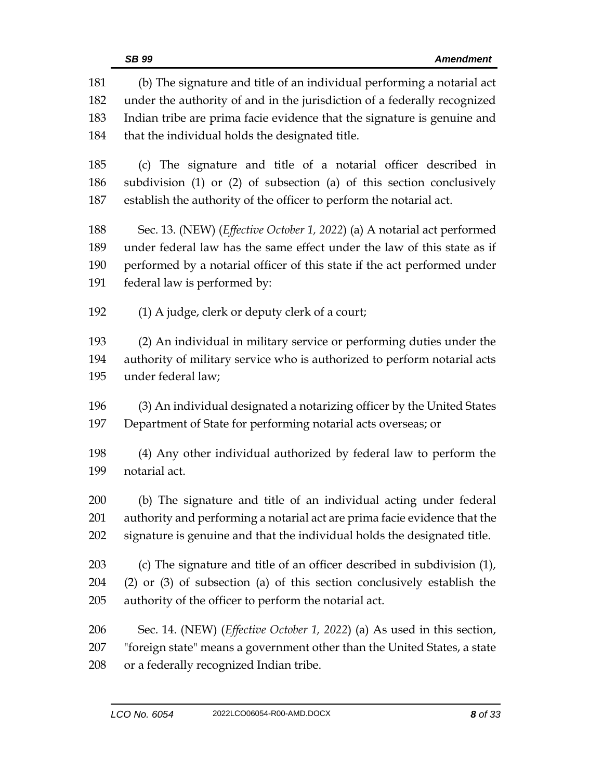| 181 | (b) The signature and title of an individual performing a notarial act           |
|-----|----------------------------------------------------------------------------------|
| 182 | under the authority of and in the jurisdiction of a federally recognized         |
| 183 | Indian tribe are prima facie evidence that the signature is genuine and          |
| 184 | that the individual holds the designated title.                                  |
| 185 | (c) The signature and title of a notarial officer described in                   |
| 186 | subdivision (1) or (2) of subsection (a) of this section conclusively            |
| 187 | establish the authority of the officer to perform the notarial act.              |
| 188 | Sec. 13. (NEW) ( <i>Effective October 1, 2022</i> ) (a) A notarial act performed |
| 189 | under federal law has the same effect under the law of this state as if          |
| 190 | performed by a notarial officer of this state if the act performed under         |
| 191 | federal law is performed by:                                                     |
| 192 | (1) A judge, clerk or deputy clerk of a court;                                   |
| 193 | (2) An individual in military service or performing duties under the             |
| 194 | authority of military service who is authorized to perform notarial acts         |
| 195 | under federal law;                                                               |
| 196 | (3) An individual designated a notarizing officer by the United States           |
| 197 | Department of State for performing notarial acts overseas; or                    |
| 198 | (4) Any other individual authorized by federal law to perform the                |
| 199 | notarial act.                                                                    |
| 200 | (b) The signature and title of an individual acting under federal                |
| 201 | authority and performing a notarial act are prima facie evidence that the        |
| 202 | signature is genuine and that the individual holds the designated title.         |
| 203 | (c) The signature and title of an officer described in subdivision (1),          |
| 204 | $(2)$ or $(3)$ of subsection $(a)$ of this section conclusively establish the    |
| 205 | authority of the officer to perform the notarial act.                            |
| 206 | Sec. 14. (NEW) (Effective October 1, 2022) (a) As used in this section,          |
| 207 | "foreign state" means a government other than the United States, a state         |
| 208 | or a federally recognized Indian tribe.                                          |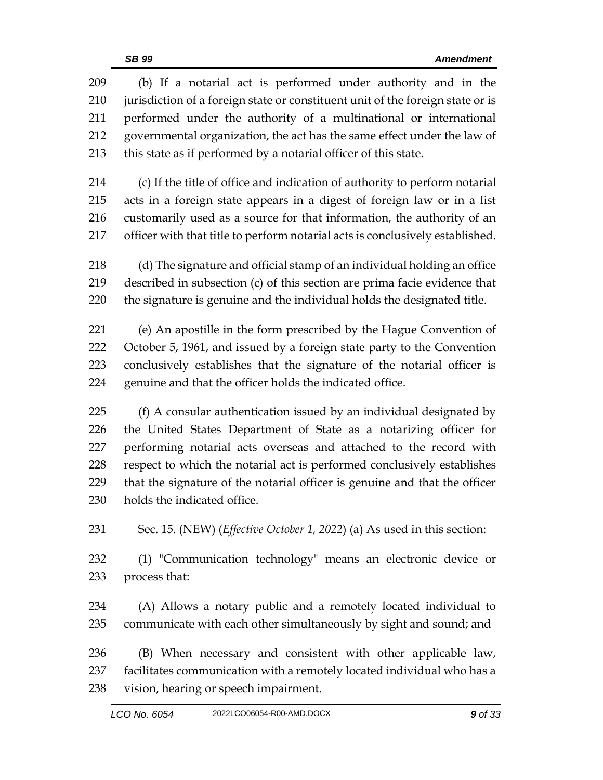| 209 | (b) If a notarial act is performed under authority and in the                    |
|-----|----------------------------------------------------------------------------------|
| 210 | jurisdiction of a foreign state or constituent unit of the foreign state or is   |
| 211 | performed under the authority of a multinational or international                |
| 212 | governmental organization, the act has the same effect under the law of          |
| 213 | this state as if performed by a notarial officer of this state.                  |
| 214 | (c) If the title of office and indication of authority to perform notarial       |
| 215 | acts in a foreign state appears in a digest of foreign law or in a list          |
| 216 | customarily used as a source for that information, the authority of an           |
| 217 | officer with that title to perform notarial acts is conclusively established.    |
| 218 | (d) The signature and official stamp of an individual holding an office          |
| 219 | described in subsection (c) of this section are prima facie evidence that        |
| 220 | the signature is genuine and the individual holds the designated title.          |
| 221 | (e) An apostille in the form prescribed by the Hague Convention of               |
| 222 | October 5, 1961, and issued by a foreign state party to the Convention           |
| 223 | conclusively establishes that the signature of the notarial officer is           |
| 224 | genuine and that the officer holds the indicated office.                         |
| 225 | (f) A consular authentication issued by an individual designated by              |
| 226 | the United States Department of State as a notarizing officer for                |
| 227 | performing notarial acts overseas and attached to the record with                |
| 228 | respect to which the notarial act is performed conclusively establishes          |
| 229 | that the signature of the notarial officer is genuine and that the officer       |
| 230 | holds the indicated office.                                                      |
| 231 | Sec. 15. (NEW) ( <i>Effective October 1, 2022</i> ) (a) As used in this section: |
| 232 | (1) "Communication technology" means an electronic device or                     |
| 233 | process that:                                                                    |
| 234 | (A) Allows a notary public and a remotely located individual to                  |
| 235 | communicate with each other simultaneously by sight and sound; and               |
| 236 | (B) When necessary and consistent with other applicable law,                     |
| 237 | facilitates communication with a remotely located individual who has a           |
| 238 | vision, hearing or speech impairment.                                            |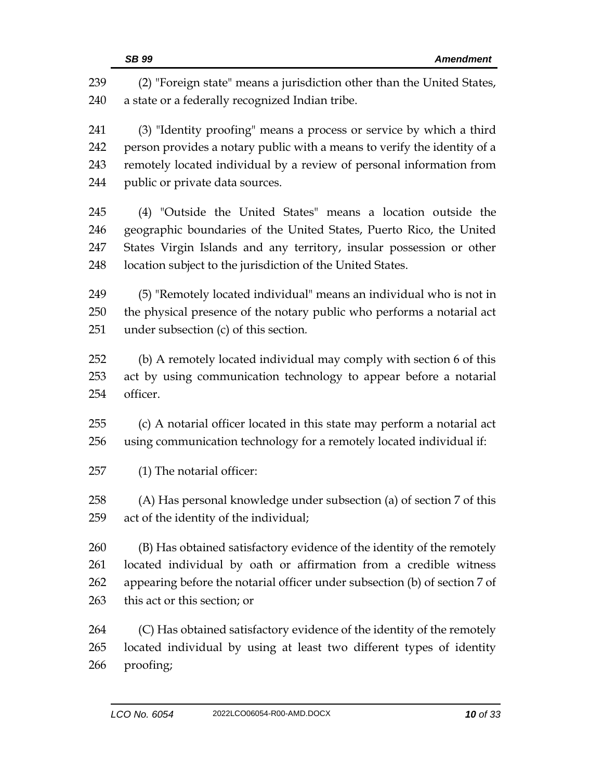|     | SB 99<br><b>Amendment</b>                                                  |
|-----|----------------------------------------------------------------------------|
| 239 | (2) "Foreign state" means a jurisdiction other than the United States,     |
| 240 | a state or a federally recognized Indian tribe.                            |
| 241 | (3) "Identity proofing" means a process or service by which a third        |
| 242 | person provides a notary public with a means to verify the identity of a   |
| 243 | remotely located individual by a review of personal information from       |
| 244 | public or private data sources.                                            |
| 245 | (4) "Outside the United States" means a location outside the               |
| 246 | geographic boundaries of the United States, Puerto Rico, the United        |
| 247 | States Virgin Islands and any territory, insular possession or other       |
| 248 | location subject to the jurisdiction of the United States.                 |
| 249 | (5) "Remotely located individual" means an individual who is not in        |
| 250 | the physical presence of the notary public who performs a notarial act     |
| 251 | under subsection (c) of this section.                                      |
| 252 | (b) A remotely located individual may comply with section 6 of this        |
| 253 | act by using communication technology to appear before a notarial          |
| 254 | officer.                                                                   |
| 255 | (c) A notarial officer located in this state may perform a notarial act    |
| 256 | using communication technology for a remotely located individual if:       |
| 257 | (1) The notarial officer:                                                  |
| 258 | (A) Has personal knowledge under subsection (a) of section 7 of this       |
| 259 | act of the identity of the individual;                                     |
| 260 | (B) Has obtained satisfactory evidence of the identity of the remotely     |
| 261 | located individual by oath or affirmation from a credible witness          |
| 262 | appearing before the notarial officer under subsection (b) of section 7 of |
| 263 | this act or this section; or                                               |
| 264 | (C) Has obtained satisfactory evidence of the identity of the remotely     |
| 265 | located individual by using at least two different types of identity       |
| 266 | proofing;                                                                  |
|     |                                                                            |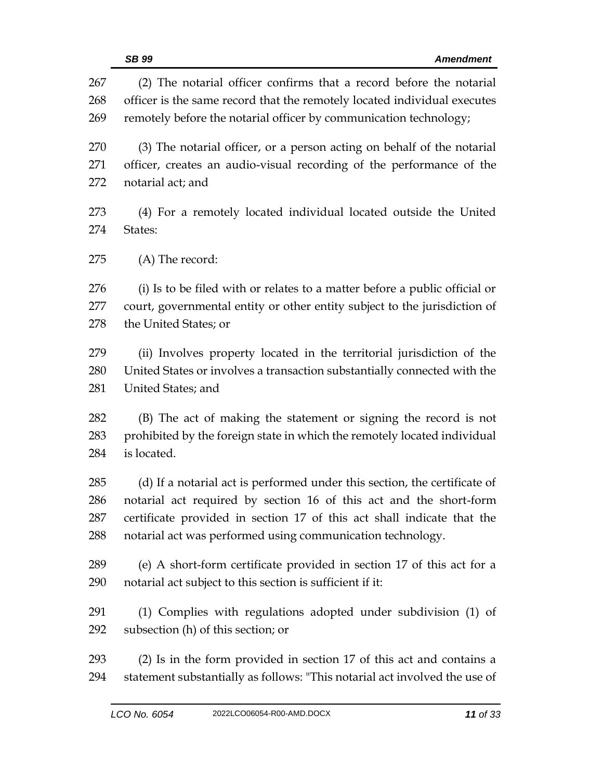|            | SB 99<br><b>Amendment</b>                                                                                                                       |
|------------|-------------------------------------------------------------------------------------------------------------------------------------------------|
| 267<br>268 | (2) The notarial officer confirms that a record before the notarial<br>officer is the same record that the remotely located individual executes |
| 269        | remotely before the notarial officer by communication technology;                                                                               |
| 270        | (3) The notarial officer, or a person acting on behalf of the notarial                                                                          |
| 271<br>272 | officer, creates an audio-visual recording of the performance of the<br>notarial act; and                                                       |
| 273<br>274 | (4) For a remotely located individual located outside the United<br>States:                                                                     |
| 275        | (A) The record:                                                                                                                                 |
| 276        | (i) Is to be filed with or relates to a matter before a public official or                                                                      |
| 277<br>278 | court, governmental entity or other entity subject to the jurisdiction of<br>the United States; or                                              |
| 279        | (ii) Involves property located in the territorial jurisdiction of the                                                                           |
| 280<br>281 | United States or involves a transaction substantially connected with the<br>United States; and                                                  |
| 282        | (B) The act of making the statement or signing the record is not                                                                                |
| 283<br>284 | prohibited by the foreign state in which the remotely located individual<br>is located.                                                         |
| 285        | (d) If a notarial act is performed under this section, the certificate of                                                                       |
| 286        | notarial act required by section 16 of this act and the short-form                                                                              |
| 287<br>288 | certificate provided in section 17 of this act shall indicate that the<br>notarial act was performed using communication technology.            |
| 289        | (e) A short-form certificate provided in section 17 of this act for a                                                                           |
| 290        | notarial act subject to this section is sufficient if it:                                                                                       |
| 291        | (1) Complies with regulations adopted under subdivision (1) of                                                                                  |
| 292        | subsection (h) of this section; or                                                                                                              |
| 293        | (2) Is in the form provided in section 17 of this act and contains a                                                                            |
| 294        | statement substantially as follows: "This notarial act involved the use of                                                                      |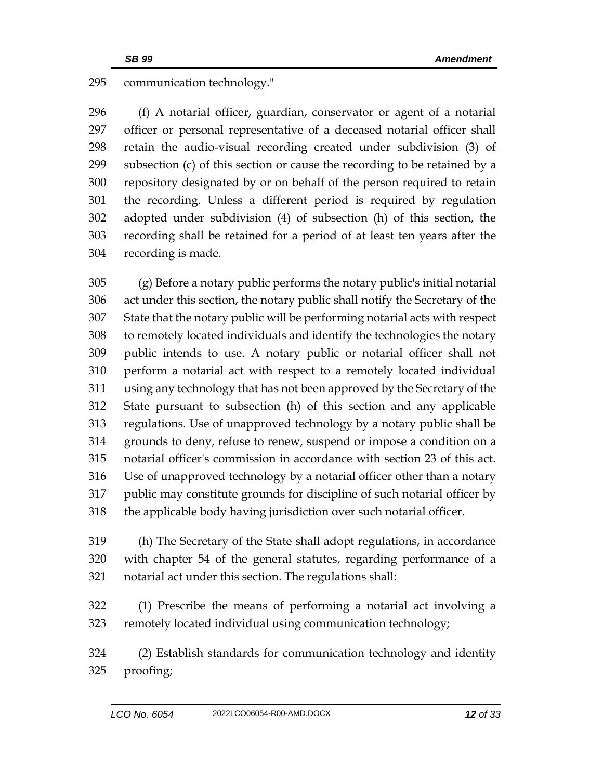## communication technology."

 (f) A notarial officer, guardian, conservator or agent of a notarial officer or personal representative of a deceased notarial officer shall retain the audio-visual recording created under subdivision (3) of subsection (c) of this section or cause the recording to be retained by a repository designated by or on behalf of the person required to retain the recording. Unless a different period is required by regulation adopted under subdivision (4) of subsection (h) of this section, the recording shall be retained for a period of at least ten years after the recording is made.

 (g) Before a notary public performs the notary public's initial notarial act under this section, the notary public shall notify the Secretary of the State that the notary public will be performing notarial acts with respect to remotely located individuals and identify the technologies the notary public intends to use. A notary public or notarial officer shall not perform a notarial act with respect to a remotely located individual using any technology that has not been approved by the Secretary of the State pursuant to subsection (h) of this section and any applicable regulations. Use of unapproved technology by a notary public shall be grounds to deny, refuse to renew, suspend or impose a condition on a notarial officer's commission in accordance with section 23 of this act. Use of unapproved technology by a notarial officer other than a notary public may constitute grounds for discipline of such notarial officer by the applicable body having jurisdiction over such notarial officer.

 (h) The Secretary of the State shall adopt regulations, in accordance with chapter 54 of the general statutes, regarding performance of a notarial act under this section. The regulations shall:

 (1) Prescribe the means of performing a notarial act involving a remotely located individual using communication technology;

 (2) Establish standards for communication technology and identity proofing;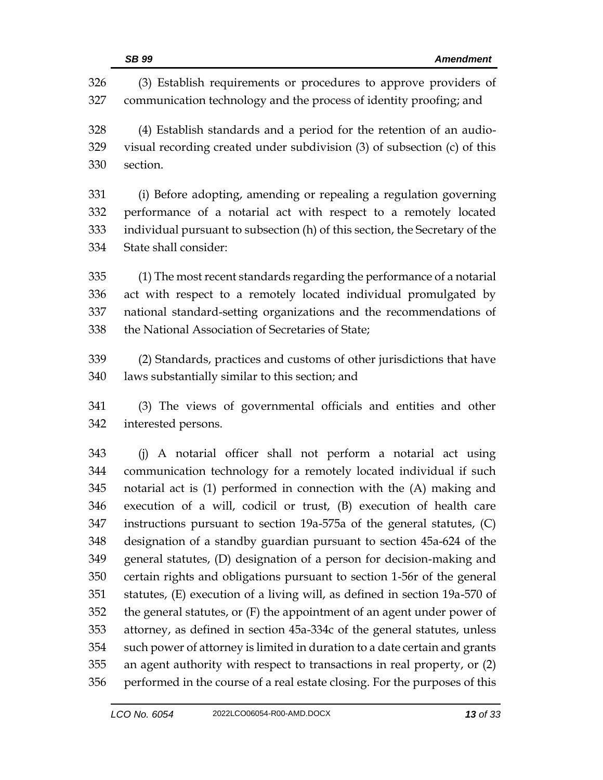|            | <b>SB 99</b><br><b>Amendment</b>                                                                                                       |
|------------|----------------------------------------------------------------------------------------------------------------------------------------|
| 326<br>327 | (3) Establish requirements or procedures to approve providers of<br>communication technology and the process of identity proofing; and |
| 328        | (4) Establish standards and a period for the retention of an audio-                                                                    |
| 329        | visual recording created under subdivision (3) of subsection (c) of this                                                               |
| 330        | section.                                                                                                                               |
| 331        | (i) Before adopting, amending or repealing a regulation governing                                                                      |
| 332        | performance of a notarial act with respect to a remotely located                                                                       |
| 333        | individual pursuant to subsection (h) of this section, the Secretary of the                                                            |
| 334        | State shall consider:                                                                                                                  |
| 335        | (1) The most recent standards regarding the performance of a notarial                                                                  |
| 336        | act with respect to a remotely located individual promulgated by                                                                       |
| 337        | national standard-setting organizations and the recommendations of                                                                     |
| 338        | the National Association of Secretaries of State;                                                                                      |
| 339        | (2) Standards, practices and customs of other jurisdictions that have                                                                  |
| 340        | laws substantially similar to this section; and                                                                                        |
| 341        | (3) The views of governmental officials and entities and other                                                                         |
| 342        | interested persons.                                                                                                                    |
| 343        | (j) A notarial officer shall not perform a notarial act using                                                                          |
| 344        | communication technology for a remotely located individual if such                                                                     |
| 345        | notarial act is (1) performed in connection with the (A) making and                                                                    |
| 346        | execution of a will, codicil or trust, (B) execution of health care                                                                    |
| 347        | instructions pursuant to section 19a-575a of the general statutes, (C)                                                                 |
| 348        | designation of a standby guardian pursuant to section 45a-624 of the                                                                   |
| 349        | general statutes, (D) designation of a person for decision-making and                                                                  |
| 350        | certain rights and obligations pursuant to section 1-56r of the general                                                                |
| 351        | statutes, (E) execution of a living will, as defined in section 19a-570 of                                                             |
| 352        | the general statutes, or (F) the appointment of an agent under power of                                                                |
| 353        | attorney, as defined in section 45a-334c of the general statutes, unless                                                               |
| 354        | such power of attorney is limited in duration to a date certain and grants                                                             |
| 355        | an agent authority with respect to transactions in real property, or (2)                                                               |
| 356        | performed in the course of a real estate closing. For the purposes of this                                                             |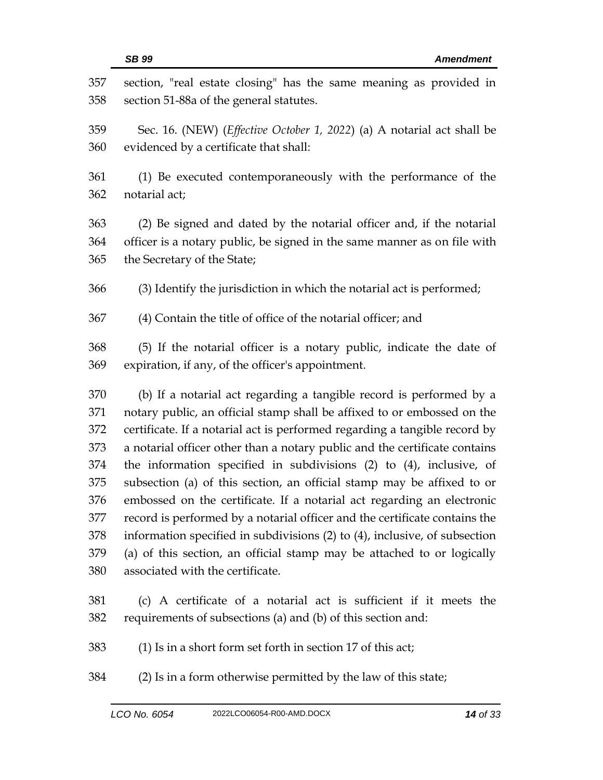| 357<br>358 | section, "real estate closing" has the same meaning as provided in<br>section 51-88a of the general statutes.                                    |
|------------|--------------------------------------------------------------------------------------------------------------------------------------------------|
| 359        | Sec. 16. (NEW) ( <i>Effective October 1, 2022</i> ) (a) A notarial act shall be                                                                  |
| 360        | evidenced by a certificate that shall:                                                                                                           |
| 361        | (1) Be executed contemporaneously with the performance of the                                                                                    |
| 362        | notarial act;                                                                                                                                    |
| 363        | (2) Be signed and dated by the notarial officer and, if the notarial                                                                             |
| 364        | officer is a notary public, be signed in the same manner as on file with                                                                         |
| 365        | the Secretary of the State;                                                                                                                      |
| 366        | (3) Identify the jurisdiction in which the notarial act is performed;                                                                            |
| 367        | (4) Contain the title of office of the notarial officer; and                                                                                     |
| 368        | (5) If the notarial officer is a notary public, indicate the date of                                                                             |
| 369        | expiration, if any, of the officer's appointment.                                                                                                |
| 370        | (b) If a notarial act regarding a tangible record is performed by a                                                                              |
| 371        | notary public, an official stamp shall be affixed to or embossed on the                                                                          |
| 372        | certificate. If a notarial act is performed regarding a tangible record by                                                                       |
| 373        | a notarial officer other than a notary public and the certificate contains                                                                       |
| 374        | the information specified in subdivisions $(2)$ to $(4)$ , inclusive, of                                                                         |
| 375<br>376 | subsection (a) of this section, an official stamp may be affixed to or<br>embossed on the certificate. If a notarial act regarding an electronic |
| 377        | record is performed by a notarial officer and the certificate contains the                                                                       |
| 378        | information specified in subdivisions $(2)$ to $(4)$ , inclusive, of subsection                                                                  |
| 379        | (a) of this section, an official stamp may be attached to or logically                                                                           |
| 380        | associated with the certificate.                                                                                                                 |
| 381        | (c) A certificate of a notarial act is sufficient if it meets the                                                                                |
| 382        | requirements of subsections (a) and (b) of this section and:                                                                                     |
| 383        | (1) Is in a short form set forth in section 17 of this act;                                                                                      |

(2) Is in a form otherwise permitted by the law of this state;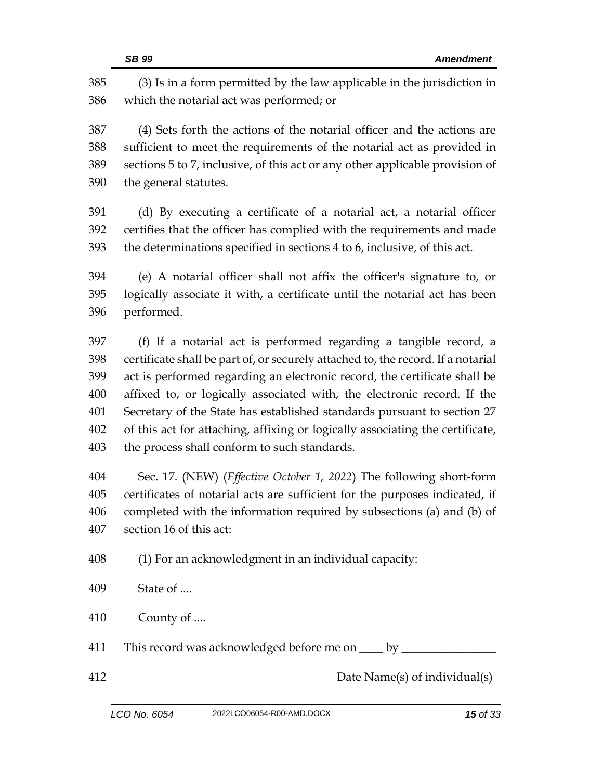|     | SB 99<br><b>Amendment</b>                                                        |
|-----|----------------------------------------------------------------------------------|
| 385 | (3) Is in a form permitted by the law applicable in the jurisdiction in          |
| 386 | which the notarial act was performed; or                                         |
| 387 | (4) Sets forth the actions of the notarial officer and the actions are           |
| 388 | sufficient to meet the requirements of the notarial act as provided in           |
| 389 | sections 5 to 7, inclusive, of this act or any other applicable provision of     |
| 390 | the general statutes.                                                            |
| 391 | (d) By executing a certificate of a notarial act, a notarial officer             |
| 392 | certifies that the officer has complied with the requirements and made           |
| 393 | the determinations specified in sections 4 to 6, inclusive, of this act.         |
| 394 | (e) A notarial officer shall not affix the officer's signature to, or            |
| 395 | logically associate it with, a certificate until the notarial act has been       |
| 396 | performed.                                                                       |
| 397 | (f) If a notarial act is performed regarding a tangible record, a                |
| 398 | certificate shall be part of, or securely attached to, the record. If a notarial |
| 399 | act is performed regarding an electronic record, the certificate shall be        |
| 400 | affixed to, or logically associated with, the electronic record. If the          |
| 401 | Secretary of the State has established standards pursuant to section 27          |
| 402 | of this act for attaching, affixing or logically associating the certificate,    |
| 403 | the process shall conform to such standards.                                     |
| 404 | Sec. 17. (NEW) ( <i>Effective October 1, 2022</i> ) The following short-form     |
| 405 | certificates of notarial acts are sufficient for the purposes indicated, if      |
| 406 | completed with the information required by subsections (a) and (b) of            |
| 407 | section 16 of this act:                                                          |
| 408 | (1) For an acknowledgment in an individual capacity:                             |
| 409 | State of                                                                         |
| 410 | County of                                                                        |
| 411 | This record was acknowledged before me on ____ by ______                         |
| 412 | Date Name(s) of individual(s)                                                    |
|     |                                                                                  |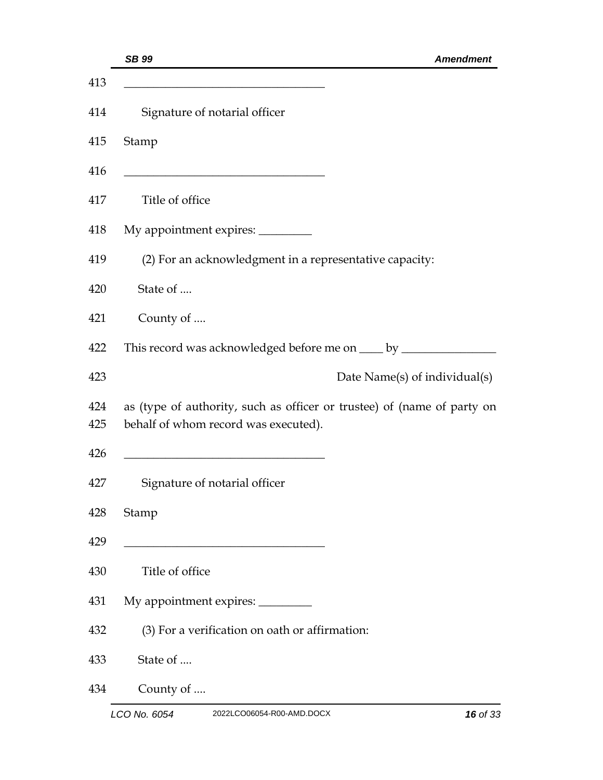| SB 99<br><b>Amendment</b>                                                                                       |
|-----------------------------------------------------------------------------------------------------------------|
|                                                                                                                 |
| Signature of notarial officer                                                                                   |
| Stamp                                                                                                           |
|                                                                                                                 |
| Title of office                                                                                                 |
| My appointment expires: _________                                                                               |
| (2) For an acknowledgment in a representative capacity:                                                         |
| State of                                                                                                        |
| County of                                                                                                       |
|                                                                                                                 |
| Date Name(s) of individual(s)                                                                                   |
| as (type of authority, such as officer or trustee) of (name of party on<br>behalf of whom record was executed). |
| Signature of notarial officer                                                                                   |
| Stamp                                                                                                           |
| Title of office                                                                                                 |
| My appointment expires: ________                                                                                |
| (3) For a verification on oath or affirmation:                                                                  |
| State of                                                                                                        |
| County of                                                                                                       |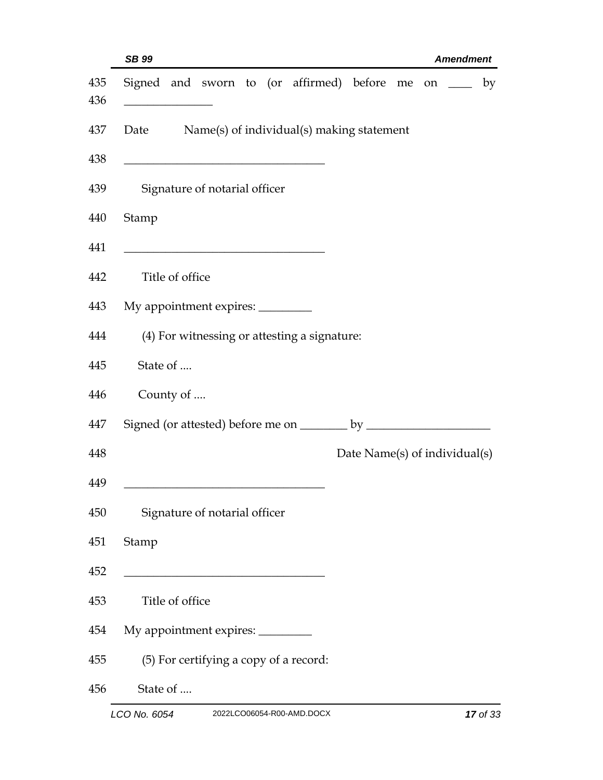| SB 99                                               | <b>Amendment</b>              |
|-----------------------------------------------------|-------------------------------|
| Signed and sworn to (or affirmed) before me on ____ | by                            |
| Date<br>Name(s) of individual(s) making statement   |                               |
| Signature of notarial officer                       |                               |
| Stamp                                               |                               |
| Title of office                                     |                               |
| My appointment expires: _________                   |                               |
| (4) For witnessing or attesting a signature:        |                               |
| State of                                            |                               |
| County of                                           |                               |
|                                                     |                               |
|                                                     | Date Name(s) of individual(s) |
|                                                     |                               |
| Signature of notarial officer                       |                               |
| Stamp                                               |                               |
|                                                     |                               |
| Title of office                                     |                               |
| My appointment expires: __________                  |                               |
| (5) For certifying a copy of a record:              |                               |
| State of                                            |                               |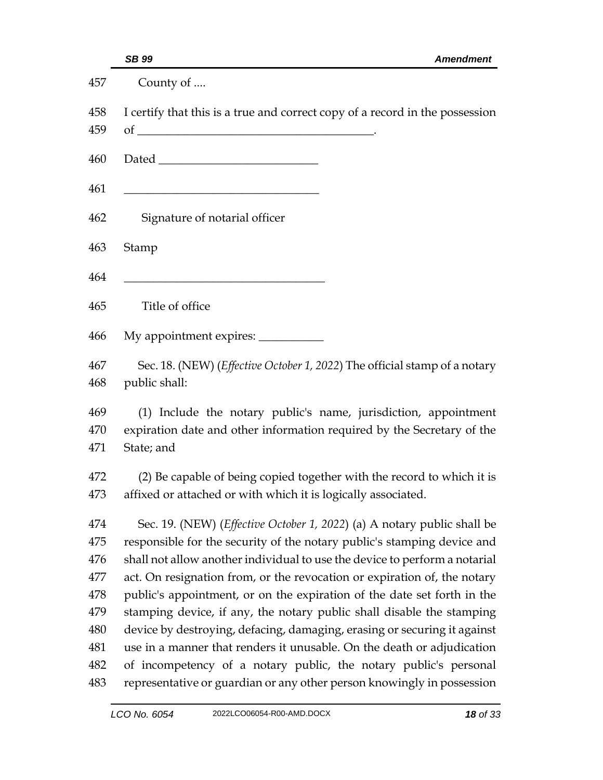| SB 99<br><b>Amendment</b>                                                                                                                               |
|---------------------------------------------------------------------------------------------------------------------------------------------------------|
| County of                                                                                                                                               |
| I certify that this is a true and correct copy of a record in the possession<br>of $\overline{\phantom{a}}$                                             |
|                                                                                                                                                         |
| Signature of notarial officer                                                                                                                           |
| Stamp                                                                                                                                                   |
| Title of office                                                                                                                                         |
|                                                                                                                                                         |
| Sec. 18. (NEW) ( <i>Effective October 1, 2022</i> ) The official stamp of a notary<br>public shall:                                                     |
| (1) Include the notary public's name, jurisdiction, appointment<br>expiration date and other information required by the Secretary of the<br>State; and |
| (2) Be capable of being copied together with the record to which it is<br>affixed or attached or with which it is logically associated.                 |
| Sec. 19. (NEW) (Effective October 1, 2022) (a) A notary public shall be                                                                                 |
| responsible for the security of the notary public's stamping device and                                                                                 |
| shall not allow another individual to use the device to perform a notarial                                                                              |
| act. On resignation from, or the revocation or expiration of, the notary                                                                                |
| public's appointment, or on the expiration of the date set forth in the                                                                                 |
| stamping device, if any, the notary public shall disable the stamping                                                                                   |
| device by destroying, defacing, damaging, erasing or securing it against                                                                                |
| use in a manner that renders it unusable. On the death or adjudication                                                                                  |
| of incompetency of a notary public, the notary public's personal                                                                                        |
| representative or guardian or any other person knowingly in possession                                                                                  |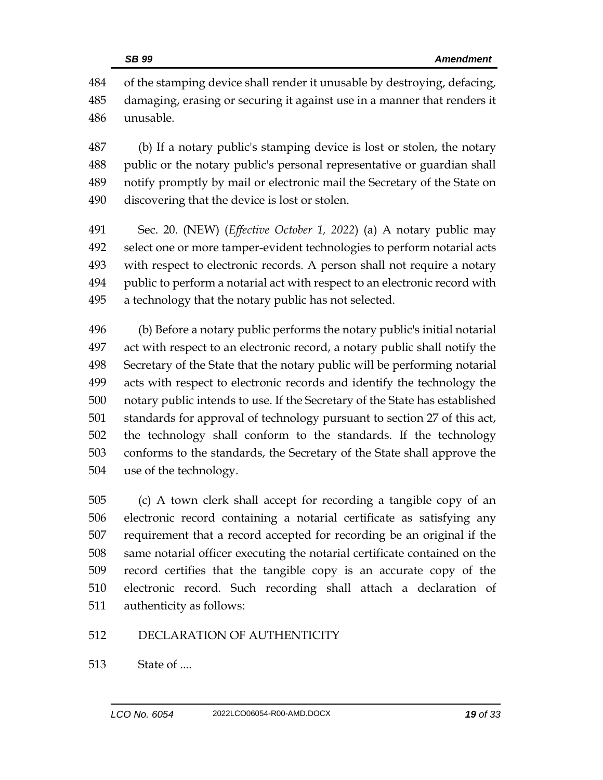of the stamping device shall render it unusable by destroying, defacing, damaging, erasing or securing it against use in a manner that renders it unusable.

 (b) If a notary public's stamping device is lost or stolen, the notary public or the notary public's personal representative or guardian shall notify promptly by mail or electronic mail the Secretary of the State on discovering that the device is lost or stolen.

 Sec. 20. (NEW) (*Effective October 1, 2022*) (a) A notary public may select one or more tamper-evident technologies to perform notarial acts with respect to electronic records. A person shall not require a notary public to perform a notarial act with respect to an electronic record with a technology that the notary public has not selected.

 (b) Before a notary public performs the notary public's initial notarial act with respect to an electronic record, a notary public shall notify the Secretary of the State that the notary public will be performing notarial acts with respect to electronic records and identify the technology the notary public intends to use. If the Secretary of the State has established standards for approval of technology pursuant to section 27 of this act, the technology shall conform to the standards. If the technology conforms to the standards, the Secretary of the State shall approve the use of the technology.

 (c) A town clerk shall accept for recording a tangible copy of an electronic record containing a notarial certificate as satisfying any requirement that a record accepted for recording be an original if the same notarial officer executing the notarial certificate contained on the record certifies that the tangible copy is an accurate copy of the electronic record. Such recording shall attach a declaration of authenticity as follows:

## DECLARATION OF AUTHENTICITY

State of ....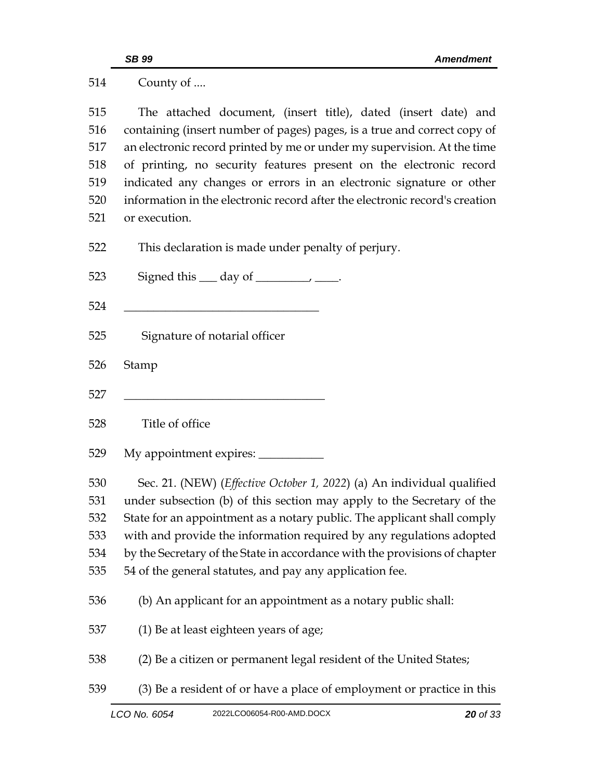| 514 | County of                                                                                                           |
|-----|---------------------------------------------------------------------------------------------------------------------|
| 515 | The attached document, (insert title), dated (insert date) and                                                      |
| 516 | containing (insert number of pages) pages, is a true and correct copy of                                            |
| 517 | an electronic record printed by me or under my supervision. At the time                                             |
| 518 | of printing, no security features present on the electronic record                                                  |
| 519 | indicated any changes or errors in an electronic signature or other                                                 |
| 520 | information in the electronic record after the electronic record's creation                                         |
| 521 | or execution.                                                                                                       |
| 522 | This declaration is made under penalty of perjury.                                                                  |
| 523 |                                                                                                                     |
| 524 | <u> 1989 - Johann Barn, mars ann an t-Amhain an t-Amhain an t-Amhain an t-Amhain an t-Amhain an t-Amhain an t-A</u> |
| 525 | Signature of notarial officer                                                                                       |
|     |                                                                                                                     |
| 526 | Stamp                                                                                                               |
| 527 |                                                                                                                     |
| 528 | Title of office                                                                                                     |
| 529 |                                                                                                                     |
| 530 | Sec. 21. (NEW) (Effective October 1, 2022) (a) An individual qualified                                              |
| 531 | under subsection (b) of this section may apply to the Secretary of the                                              |
| 532 | State for an appointment as a notary public. The applicant shall comply                                             |
| 533 | with and provide the information required by any regulations adopted                                                |
| 534 | by the Secretary of the State in accordance with the provisions of chapter                                          |
| 535 | 54 of the general statutes, and pay any application fee.                                                            |
| 536 | (b) An applicant for an appointment as a notary public shall:                                                       |
| 537 | (1) Be at least eighteen years of age;                                                                              |
| 538 | (2) Be a citizen or permanent legal resident of the United States;                                                  |
| 539 | (3) Be a resident of or have a place of employment or practice in this                                              |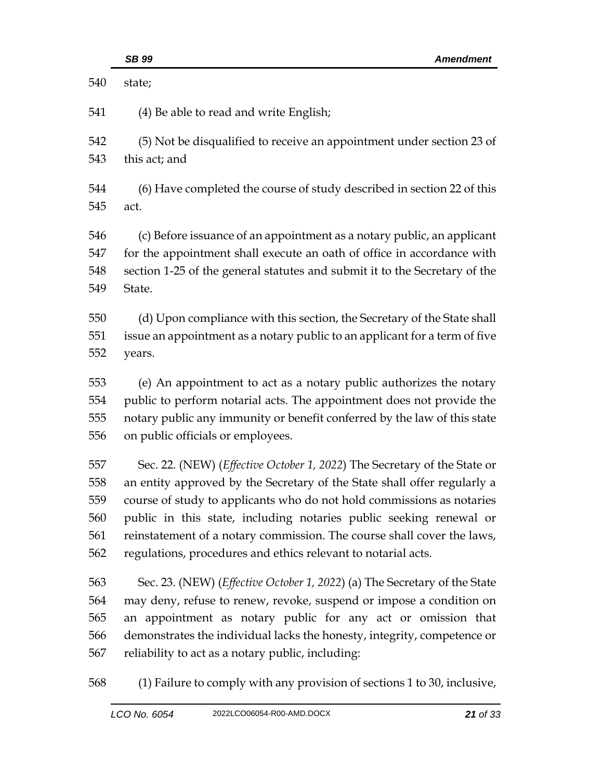|     | SB 99<br><b>Amendment</b>                                                          |
|-----|------------------------------------------------------------------------------------|
| 540 | state;                                                                             |
| 541 | (4) Be able to read and write English;                                             |
| 542 | (5) Not be disqualified to receive an appointment under section 23 of              |
| 543 | this act; and                                                                      |
| 544 | (6) Have completed the course of study described in section 22 of this             |
| 545 | act.                                                                               |
| 546 | (c) Before issuance of an appointment as a notary public, an applicant             |
| 547 | for the appointment shall execute an oath of office in accordance with             |
| 548 | section 1-25 of the general statutes and submit it to the Secretary of the         |
| 549 | State.                                                                             |
| 550 | (d) Upon compliance with this section, the Secretary of the State shall            |
| 551 | issue an appointment as a notary public to an applicant for a term of five         |
| 552 | years.                                                                             |
| 553 | (e) An appointment to act as a notary public authorizes the notary                 |
| 554 | public to perform notarial acts. The appointment does not provide the              |
| 555 | notary public any immunity or benefit conferred by the law of this state           |
| 556 | on public officials or employees.                                                  |
| 557 | Sec. 22. (NEW) ( <i>Effective October 1, 2022</i> ) The Secretary of the State or  |
| 558 | an entity approved by the Secretary of the State shall offer regularly a           |
| 559 | course of study to applicants who do not hold commissions as notaries              |
| 560 | public in this state, including notaries public seeking renewal or                 |
| 561 | reinstatement of a notary commission. The course shall cover the laws,             |
| 562 | regulations, procedures and ethics relevant to notarial acts.                      |
| 563 | Sec. 23. (NEW) ( <i>Effective October 1, 2022</i> ) (a) The Secretary of the State |
| 564 | may deny, refuse to renew, revoke, suspend or impose a condition on                |
| 565 | an appointment as notary public for any act or omission that                       |
| 566 | demonstrates the individual lacks the honesty, integrity, competence or            |
| 567 | reliability to act as a notary public, including:                                  |

(1) Failure to comply with any provision of sections 1 to 30, inclusive,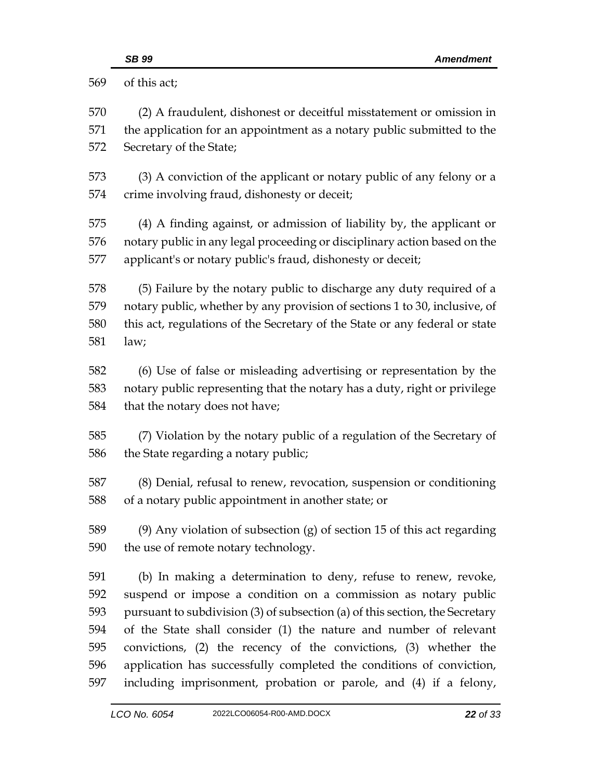|            | SB 99<br><b>Amendment</b>                                                                                                                 |  |
|------------|-------------------------------------------------------------------------------------------------------------------------------------------|--|
| 569        | of this act;                                                                                                                              |  |
| 570        | (2) A fraudulent, dishonest or deceitful misstatement or omission in                                                                      |  |
| 571        | the application for an appointment as a notary public submitted to the                                                                    |  |
| 572        | Secretary of the State;                                                                                                                   |  |
| 573        | (3) A conviction of the applicant or notary public of any felony or a                                                                     |  |
| 574        | crime involving fraud, dishonesty or deceit;                                                                                              |  |
| 575        | (4) A finding against, or admission of liability by, the applicant or                                                                     |  |
| 576        | notary public in any legal proceeding or disciplinary action based on the                                                                 |  |
| 577        | applicant's or notary public's fraud, dishonesty or deceit;                                                                               |  |
| 578        | (5) Failure by the notary public to discharge any duty required of a                                                                      |  |
| 579        | notary public, whether by any provision of sections 1 to 30, inclusive, of                                                                |  |
| 580        | this act, regulations of the Secretary of the State or any federal or state                                                               |  |
| 581        | law;                                                                                                                                      |  |
| 582        | (6) Use of false or misleading advertising or representation by the                                                                       |  |
| 583        | notary public representing that the notary has a duty, right or privilege                                                                 |  |
| 584        | that the notary does not have;                                                                                                            |  |
| 585        | (7) Violation by the notary public of a regulation of the Secretary of                                                                    |  |
| 586        | the State regarding a notary public;                                                                                                      |  |
| 587        | (8) Denial, refusal to renew, revocation, suspension or conditioning                                                                      |  |
| 588        | of a notary public appointment in another state; or                                                                                       |  |
| 589        | $(9)$ Any violation of subsection $(g)$ of section 15 of this act regarding                                                               |  |
| 590        | the use of remote notary technology.                                                                                                      |  |
| 591        | (b) In making a determination to deny, refuse to renew, revoke,                                                                           |  |
| 592        | suspend or impose a condition on a commission as notary public                                                                            |  |
| 593        | pursuant to subdivision (3) of subsection (a) of this section, the Secretary                                                              |  |
| 594        | of the State shall consider (1) the nature and number of relevant                                                                         |  |
| 595<br>596 | convictions, (2) the recency of the convictions, (3) whether the                                                                          |  |
| 597        | application has successfully completed the conditions of conviction,<br>including imprisonment, probation or parole, and (4) if a felony, |  |
|            |                                                                                                                                           |  |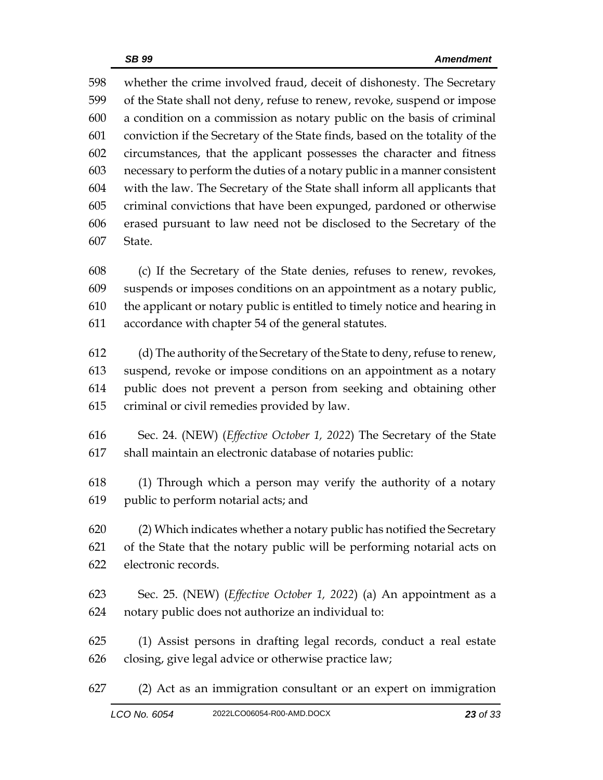whether the crime involved fraud, deceit of dishonesty. The Secretary of the State shall not deny, refuse to renew, revoke, suspend or impose a condition on a commission as notary public on the basis of criminal conviction if the Secretary of the State finds, based on the totality of the circumstances, that the applicant possesses the character and fitness necessary to perform the duties of a notary public in a manner consistent with the law. The Secretary of the State shall inform all applicants that criminal convictions that have been expunged, pardoned or otherwise erased pursuant to law need not be disclosed to the Secretary of the State.

 (c) If the Secretary of the State denies, refuses to renew, revokes, suspends or imposes conditions on an appointment as a notary public, the applicant or notary public is entitled to timely notice and hearing in accordance with chapter 54 of the general statutes.

 (d) The authority of the Secretary of the State to deny, refuse to renew, suspend, revoke or impose conditions on an appointment as a notary public does not prevent a person from seeking and obtaining other criminal or civil remedies provided by law.

 Sec. 24. (NEW) (*Effective October 1, 2022*) The Secretary of the State shall maintain an electronic database of notaries public:

 (1) Through which a person may verify the authority of a notary public to perform notarial acts; and

 (2) Which indicates whether a notary public has notified the Secretary of the State that the notary public will be performing notarial acts on electronic records.

- Sec. 25. (NEW) (*Effective October 1, 2022*) (a) An appointment as a notary public does not authorize an individual to:
- (1) Assist persons in drafting legal records, conduct a real estate closing, give legal advice or otherwise practice law;
- (2) Act as an immigration consultant or an expert on immigration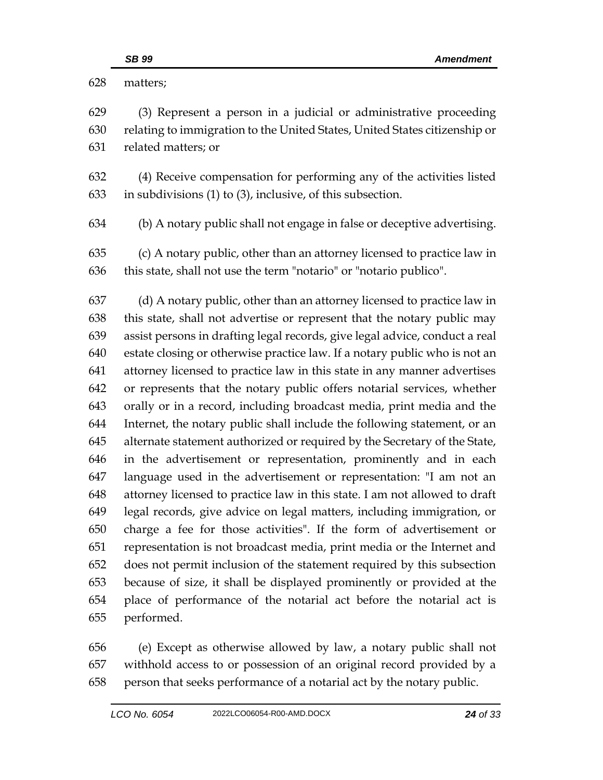| 628        | matters;                                                                                                                                                                                                                       |
|------------|--------------------------------------------------------------------------------------------------------------------------------------------------------------------------------------------------------------------------------|
| 629        | (3) Represent a person in a judicial or administrative proceeding                                                                                                                                                              |
| 630        | relating to immigration to the United States, United States citizenship or                                                                                                                                                     |
| 631        | related matters; or                                                                                                                                                                                                            |
| 632        | (4) Receive compensation for performing any of the activities listed                                                                                                                                                           |
| 633        | in subdivisions $(1)$ to $(3)$ , inclusive, of this subsection.                                                                                                                                                                |
| 634        | (b) A notary public shall not engage in false or deceptive advertising.                                                                                                                                                        |
| 635        | (c) A notary public, other than an attorney licensed to practice law in                                                                                                                                                        |
| 636        | this state, shall not use the term "notario" or "notario publico".                                                                                                                                                             |
| 637        | (d) A notary public, other than an attorney licensed to practice law in                                                                                                                                                        |
| 638        | this state, shall not advertise or represent that the notary public may                                                                                                                                                        |
| 639        | assist persons in drafting legal records, give legal advice, conduct a real                                                                                                                                                    |
| 640        | estate closing or otherwise practice law. If a notary public who is not an                                                                                                                                                     |
| 641        | attorney licensed to practice law in this state in any manner advertises                                                                                                                                                       |
| 642        | or represents that the notary public offers notarial services, whether                                                                                                                                                         |
| 643        | orally or in a record, including broadcast media, print media and the                                                                                                                                                          |
| 644        | Internet, the notary public shall include the following statement, or an                                                                                                                                                       |
| 645        | alternate statement authorized or required by the Secretary of the State,                                                                                                                                                      |
| 646        | in the advertisement or representation, prominently and in each                                                                                                                                                                |
| 647        | language used in the advertisement or representation: "I am not an                                                                                                                                                             |
| 648        | attorney licensed to practice law in this state. I am not allowed to draft                                                                                                                                                     |
| 649        | legal records, give advice on legal matters, including immigration, or                                                                                                                                                         |
| 650        | charge a fee for those activities". If the form of advertisement or                                                                                                                                                            |
| 651        | representation is not broadcast media, print media or the Internet and                                                                                                                                                         |
| 652        | does not permit inclusion of the statement required by this subsection                                                                                                                                                         |
| 653        | because of size, it shall be displayed prominently or provided at the                                                                                                                                                          |
| 654        | place of performance of the notarial act before the notarial act is                                                                                                                                                            |
| 655        | performed.                                                                                                                                                                                                                     |
| $\epsilon$ | The country of the second of the first that the second second and the second of the second second second second second second second second second second second second second second second second second second second secon |

 (e) Except as otherwise allowed by law, a notary public shall not withhold access to or possession of an original record provided by a person that seeks performance of a notarial act by the notary public.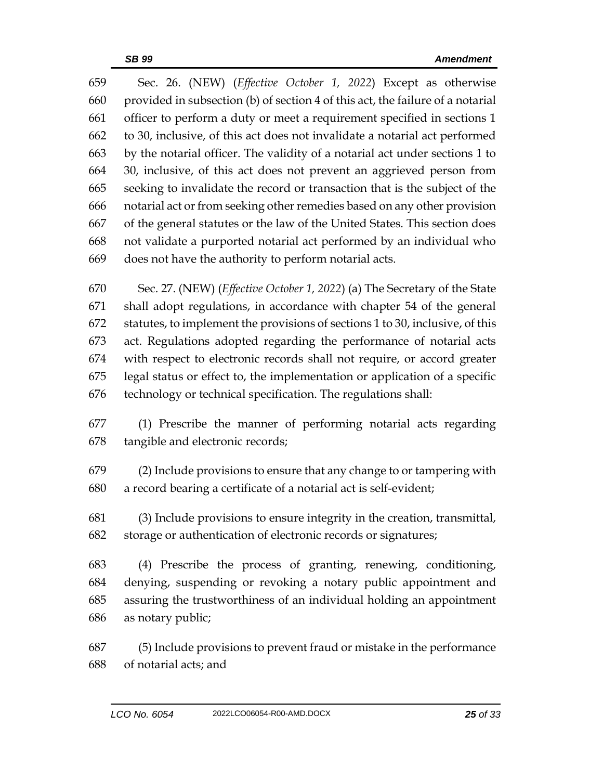Sec. 26. (NEW) (*Effective October 1, 2022*) Except as otherwise provided in subsection (b) of section 4 of this act, the failure of a notarial officer to perform a duty or meet a requirement specified in sections 1 to 30, inclusive, of this act does not invalidate a notarial act performed by the notarial officer. The validity of a notarial act under sections 1 to 30, inclusive, of this act does not prevent an aggrieved person from seeking to invalidate the record or transaction that is the subject of the notarial act or from seeking other remedies based on any other provision of the general statutes or the law of the United States. This section does not validate a purported notarial act performed by an individual who does not have the authority to perform notarial acts.

 Sec. 27. (NEW) (*Effective October 1, 2022*) (a) The Secretary of the State shall adopt regulations, in accordance with chapter 54 of the general statutes, to implement the provisions of sections 1 to 30, inclusive, of this act. Regulations adopted regarding the performance of notarial acts with respect to electronic records shall not require, or accord greater legal status or effect to, the implementation or application of a specific technology or technical specification. The regulations shall:

 (1) Prescribe the manner of performing notarial acts regarding tangible and electronic records;

 (2) Include provisions to ensure that any change to or tampering with a record bearing a certificate of a notarial act is self-evident;

 (3) Include provisions to ensure integrity in the creation, transmittal, storage or authentication of electronic records or signatures;

 (4) Prescribe the process of granting, renewing, conditioning, denying, suspending or revoking a notary public appointment and assuring the trustworthiness of an individual holding an appointment as notary public;

 (5) Include provisions to prevent fraud or mistake in the performance of notarial acts; and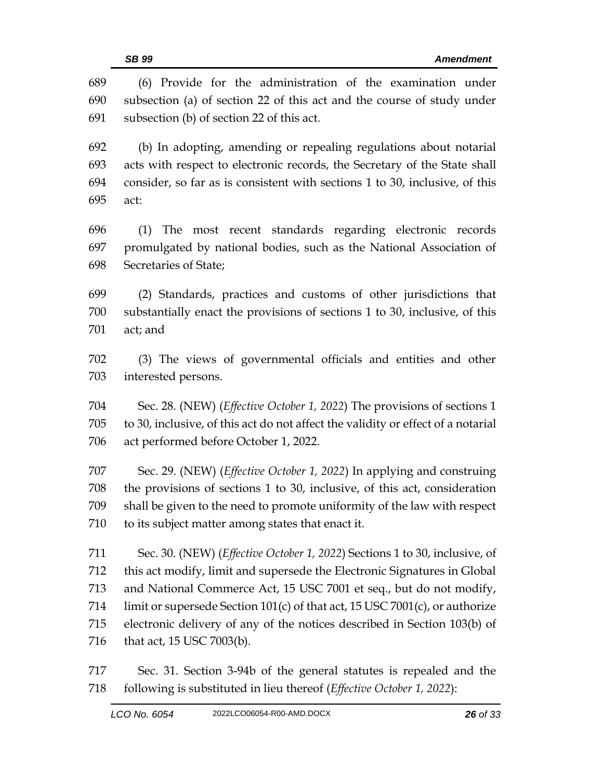(6) Provide for the administration of the examination under subsection (a) of section 22 of this act and the course of study under subsection (b) of section 22 of this act. (b) In adopting, amending or repealing regulations about notarial acts with respect to electronic records, the Secretary of the State shall consider, so far as is consistent with sections 1 to 30, inclusive, of this act: (1) The most recent standards regarding electronic records promulgated by national bodies, such as the National Association of Secretaries of State; (2) Standards, practices and customs of other jurisdictions that substantially enact the provisions of sections 1 to 30, inclusive, of this act; and (3) The views of governmental officials and entities and other interested persons. Sec. 28. (NEW) (*Effective October 1, 2022*) The provisions of sections 1 to 30, inclusive, of this act do not affect the validity or effect of a notarial act performed before October 1, 2022. Sec. 29. (NEW) (*Effective October 1, 2022*) In applying and construing the provisions of sections 1 to 30, inclusive, of this act, consideration shall be given to the need to promote uniformity of the law with respect to its subject matter among states that enact it. Sec. 30. (NEW) (*Effective October 1, 2022*) Sections 1 to 30, inclusive, of this act modify, limit and supersede the Electronic Signatures in Global and National Commerce Act, 15 USC 7001 et seq., but do not modify, 714 limit or supersede Section 101(c) of that act, 15 USC 7001(c), or authorize electronic delivery of any of the notices described in Section 103(b) of 716 that act, 15 USC 7003(b).

 Sec. 31. Section 3-94b of the general statutes is repealed and the following is substituted in lieu thereof (*Effective October 1, 2022*):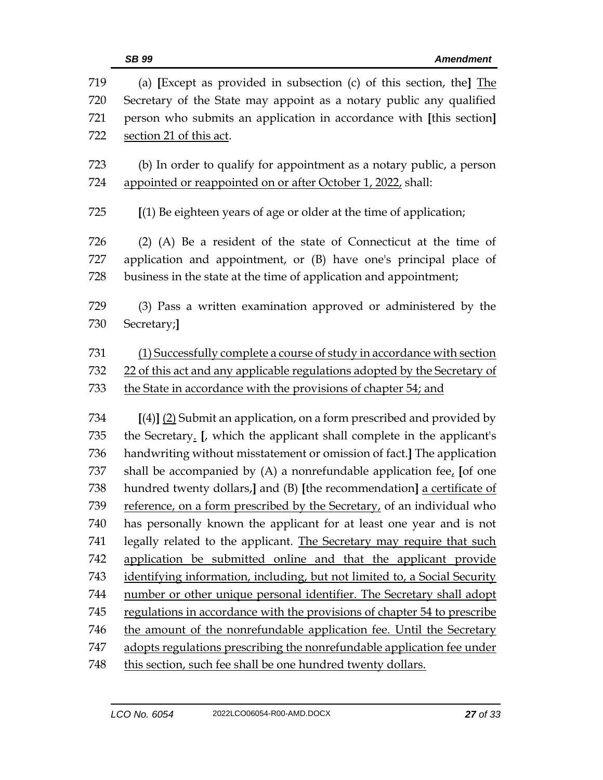|     | <b>SB 99</b><br><b>Amendment</b>                                          |
|-----|---------------------------------------------------------------------------|
| 719 | (a) [Except as provided in subsection $(c)$ of this section, the] $The$   |
| 720 | Secretary of the State may appoint as a notary public any qualified       |
| 721 | person who submits an application in accordance with [this section]       |
| 722 | section 21 of this act.                                                   |
| 723 | (b) In order to qualify for appointment as a notary public, a person      |
| 724 | appointed or reappointed on or after October 1, 2022, shall:              |
| 725 | [(1) Be eighteen years of age or older at the time of application;        |
| 726 | (2) (A) Be a resident of the state of Connecticut at the time of          |
| 727 | application and appointment, or (B) have one's principal place of         |
| 728 | business in the state at the time of application and appointment;         |
|     |                                                                           |
| 729 | (3) Pass a written examination approved or administered by the            |
| 730 | Secretary;                                                                |
| 731 | (1) Successfully complete a course of study in accordance with section    |
| 732 | 22 of this act and any applicable regulations adopted by the Secretary of |
| 733 | the State in accordance with the provisions of chapter 54; and            |
|     |                                                                           |
| 734 | $[(4)]$ (2) Submit an application, on a form prescribed and provided by   |
| 735 | the Secretary. [, which the applicant shall complete in the applicant's   |
| 736 | handwriting without misstatement or omission of fact.] The application    |
| 737 | shall be accompanied by $(A)$ a nonrefundable application fee, [of one    |
| 738 | hundred twenty dollars,] and (B) [the recommendation] a certificate of    |
| 739 | reference, on a form prescribed by the Secretary, of an individual who    |
| 740 | has personally known the applicant for at least one year and is not       |
| 741 | legally related to the applicant. The Secretary may require that such     |
| 742 | application be submitted online and that the applicant provide            |
| 743 | identifying information, including, but not limited to, a Social Security |
| 744 | number or other unique personal identifier. The Secretary shall adopt     |
| 745 | regulations in accordance with the provisions of chapter 54 to prescribe  |
| 746 | the amount of the nonrefundable application fee. Until the Secretary      |
| 747 | adopts regulations prescribing the nonrefundable application fee under    |
| 748 | this section, such fee shall be one hundred twenty dollars.               |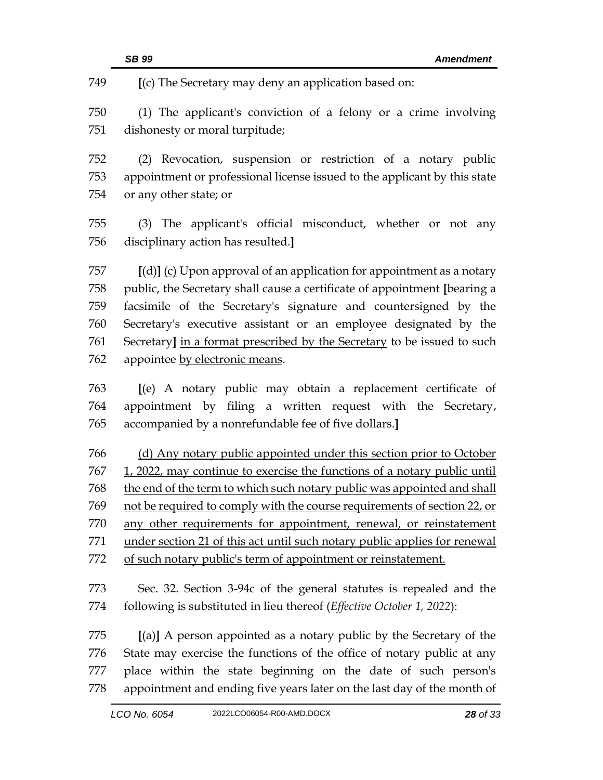**[**(c) The Secretary may deny an application based on:

 (1) The applicant's conviction of a felony or a crime involving dishonesty or moral turpitude;

 (2) Revocation, suspension or restriction of a notary public appointment or professional license issued to the applicant by this state or any other state; or

 (3) The applicant's official misconduct, whether or not any disciplinary action has resulted.**]**

 **[**(d)**]** (c) Upon approval of an application for appointment as a notary public, the Secretary shall cause a certificate of appointment **[**bearing a facsimile of the Secretary's signature and countersigned by the Secretary's executive assistant or an employee designated by the Secretary**]** in a format prescribed by the Secretary to be issued to such appointee by electronic means.

 **[**(e) A notary public may obtain a replacement certificate of appointment by filing a written request with the Secretary, accompanied by a nonrefundable fee of five dollars.**]**

 (d) Any notary public appointed under this section prior to October 1, 2022, may continue to exercise the functions of a notary public until 768 the end of the term to which such notary public was appointed and shall not be required to comply with the course requirements of section 22, or any other requirements for appointment, renewal, or reinstatement under section 21 of this act until such notary public applies for renewal of such notary public's term of appointment or reinstatement.

 Sec. 32. Section 3-94c of the general statutes is repealed and the following is substituted in lieu thereof (*Effective October 1, 2022*):

 **[**(a)**]** A person appointed as a notary public by the Secretary of the State may exercise the functions of the office of notary public at any place within the state beginning on the date of such person's appointment and ending five years later on the last day of the month of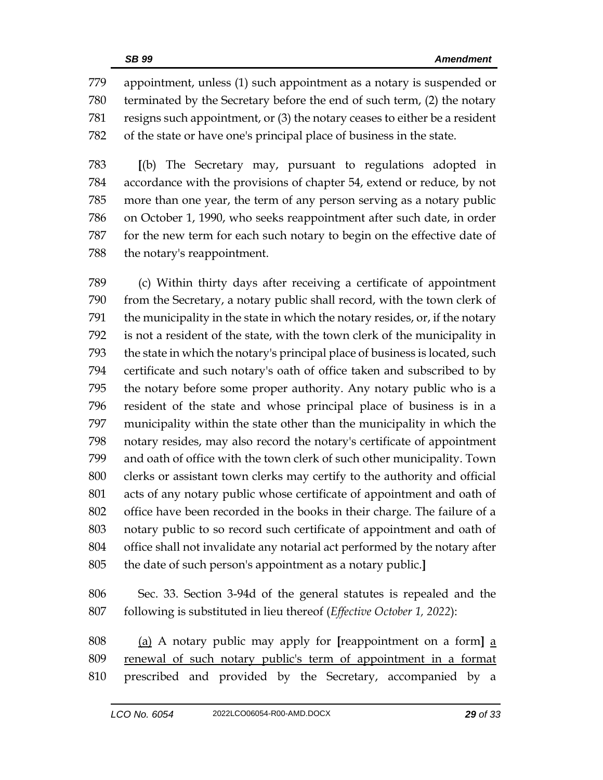appointment, unless (1) such appointment as a notary is suspended or terminated by the Secretary before the end of such term, (2) the notary resigns such appointment, or (3) the notary ceases to either be a resident of the state or have one's principal place of business in the state.

 **[**(b) The Secretary may, pursuant to regulations adopted in accordance with the provisions of chapter 54, extend or reduce, by not more than one year, the term of any person serving as a notary public on October 1, 1990, who seeks reappointment after such date, in order for the new term for each such notary to begin on the effective date of the notary's reappointment.

 (c) Within thirty days after receiving a certificate of appointment from the Secretary, a notary public shall record, with the town clerk of the municipality in the state in which the notary resides, or, if the notary is not a resident of the state, with the town clerk of the municipality in the state in which the notary's principal place of business is located, such certificate and such notary's oath of office taken and subscribed to by the notary before some proper authority. Any notary public who is a resident of the state and whose principal place of business is in a municipality within the state other than the municipality in which the notary resides, may also record the notary's certificate of appointment and oath of office with the town clerk of such other municipality. Town clerks or assistant town clerks may certify to the authority and official acts of any notary public whose certificate of appointment and oath of office have been recorded in the books in their charge. The failure of a notary public to so record such certificate of appointment and oath of office shall not invalidate any notarial act performed by the notary after the date of such person's appointment as a notary public.**]**

 Sec. 33. Section 3-94d of the general statutes is repealed and the following is substituted in lieu thereof (*Effective October 1, 2022*):

 (a) A notary public may apply for **[**reappointment on a form**]** a renewal of such notary public's term of appointment in a format prescribed and provided by the Secretary, accompanied by a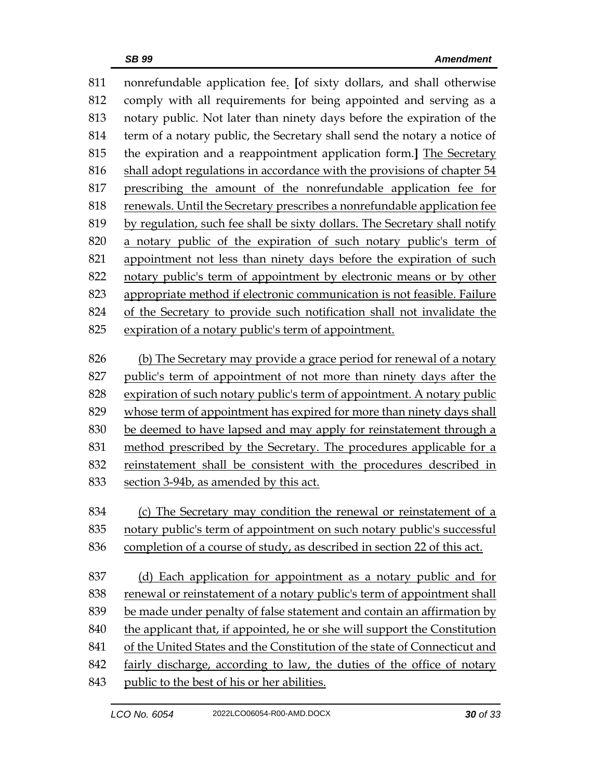nonrefundable application fee. **[**of sixty dollars, and shall otherwise comply with all requirements for being appointed and serving as a notary public. Not later than ninety days before the expiration of the term of a notary public, the Secretary shall send the notary a notice of the expiration and a reappointment application form.**]** The Secretary shall adopt regulations in accordance with the provisions of chapter 54 prescribing the amount of the nonrefundable application fee for renewals. Until the Secretary prescribes a nonrefundable application fee by regulation, such fee shall be sixty dollars. The Secretary shall notify a notary public of the expiration of such notary public's term of appointment not less than ninety days before the expiration of such notary public's term of appointment by electronic means or by other appropriate method if electronic communication is not feasible. Failure of the Secretary to provide such notification shall not invalidate the expiration of a notary public's term of appointment. (b) The Secretary may provide a grace period for renewal of a notary public's term of appointment of not more than ninety days after the expiration of such notary public's term of appointment. A notary public whose term of appointment has expired for more than ninety days shall be deemed to have lapsed and may apply for reinstatement through a method prescribed by the Secretary. The procedures applicable for a reinstatement shall be consistent with the procedures described in section 3-94b, as amended by this act. (c) The Secretary may condition the renewal or reinstatement of a notary public's term of appointment on such notary public's successful completion of a course of study, as described in section 22 of this act. 837 (d) Each application for appointment as a notary public and for 838 renewal or reinstatement of a notary public's term of appointment shall be made under penalty of false statement and contain an affirmation by the applicant that, if appointed, he or she will support the Constitution of the United States and the Constitution of the state of Connecticut and fairly discharge, according to law, the duties of the office of notary public to the best of his or her abilities.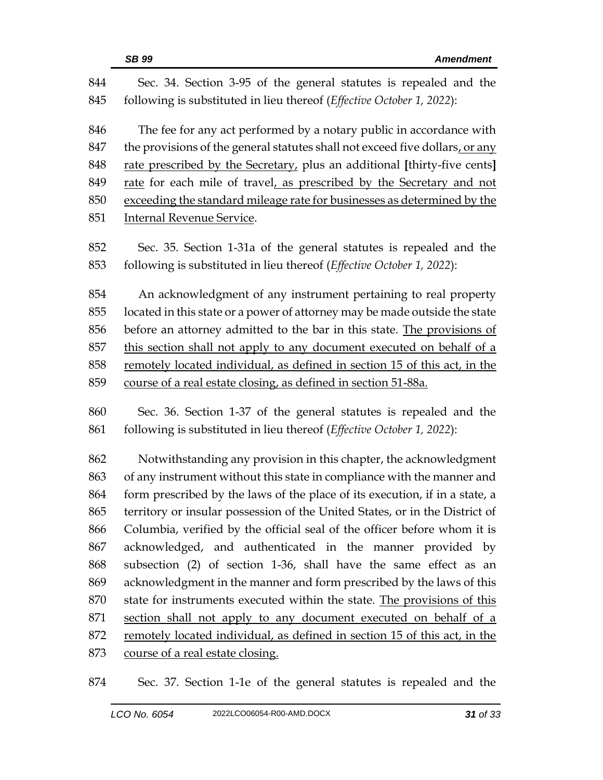| 844 | Sec. 34. Section 3-95 of the general statutes is repealed and the            |  |  |
|-----|------------------------------------------------------------------------------|--|--|
| 845 | following is substituted in lieu thereof (Effective October 1, 2022):        |  |  |
| 846 | The fee for any act performed by a notary public in accordance with          |  |  |
| 847 | the provisions of the general statutes shall not exceed five dollars, or any |  |  |
| 848 | rate prescribed by the Secretary, plus an additional [thirty-five cents]     |  |  |
| 849 | rate for each mile of travel, as prescribed by the Secretary and not         |  |  |
| 850 | exceeding the standard mileage rate for businesses as determined by the      |  |  |
| 851 | <b>Internal Revenue Service.</b>                                             |  |  |
| 852 | Sec. 35. Section 1-31a of the general statutes is repealed and the           |  |  |
| 853 | following is substituted in lieu thereof (Effective October 1, 2022):        |  |  |
| 854 | An acknowledgment of any instrument pertaining to real property              |  |  |
| 855 | located in this state or a power of attorney may be made outside the state   |  |  |
| 856 | before an attorney admitted to the bar in this state. The provisions of      |  |  |
| 857 | this section shall not apply to any document executed on behalf of a         |  |  |
| 858 | remotely located individual, as defined in section 15 of this act, in the    |  |  |
| 859 | course of a real estate closing, as defined in section 51-88a.               |  |  |
| 860 | Sec. 36. Section 1-37 of the general statutes is repealed and the            |  |  |
| 861 | following is substituted in lieu thereof (Effective October 1, 2022):        |  |  |
| 862 | Notwithstanding any provision in this chapter, the acknowledgment            |  |  |
| 863 | of any instrument without this state in compliance with the manner and       |  |  |
| 864 | form prescribed by the laws of the place of its execution, if in a state, a  |  |  |
| 865 | territory or insular possession of the United States, or in the District of  |  |  |
| 866 | Columbia, verified by the official seal of the officer before whom it is     |  |  |
| 867 | acknowledged, and authenticated in the manner provided by                    |  |  |
| 868 | subsection (2) of section 1-36, shall have the same effect as an             |  |  |
| 869 | acknowledgment in the manner and form prescribed by the laws of this         |  |  |
| 870 | state for instruments executed within the state. The provisions of this      |  |  |
| 871 | section shall not apply to any document executed on behalf of a              |  |  |
| 872 | remotely located individual, as defined in section 15 of this act, in the    |  |  |
| 873 | course of a real estate closing.                                             |  |  |

Sec. 37. Section 1-1e of the general statutes is repealed and the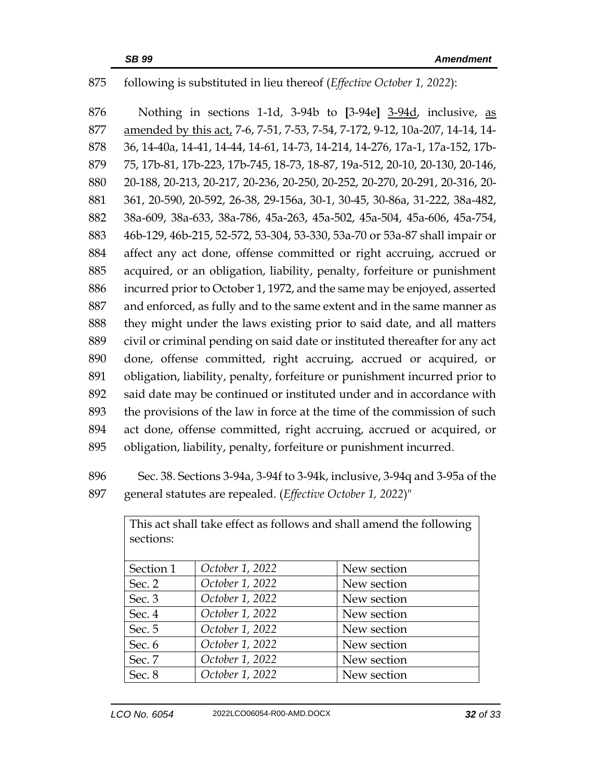## following is substituted in lieu thereof (*Effective October 1, 2022*):

 Nothing in sections 1-1d, 3-94b to **[**3-94e**]** 3-94d, inclusive, as amended by this act, 7-6, 7-51, 7-53, 7-54, 7-172, 9-12, 10a-207, 14-14, 14- 36, 14-40a, 14-41, 14-44, 14-61, 14-73, 14-214, 14-276, 17a-1, 17a-152, 17b- 75, 17b-81, 17b-223, 17b-745, 18-73, 18-87, 19a-512, 20-10, 20-130, 20-146, 20-188, 20-213, 20-217, 20-236, 20-250, 20-252, 20-270, 20-291, 20-316, 20- 361, 20-590, 20-592, 26-38, 29-156a, 30-1, 30-45, 30-86a, 31-222, 38a-482, 38a-609, 38a-633, 38a-786, 45a-263, 45a-502, 45a-504, 45a-606, 45a-754, 46b-129, 46b-215, 52-572, 53-304, 53-330, 53a-70 or 53a-87 shall impair or affect any act done, offense committed or right accruing, accrued or acquired, or an obligation, liability, penalty, forfeiture or punishment incurred prior to October 1, 1972, and the same may be enjoyed, asserted and enforced, as fully and to the same extent and in the same manner as they might under the laws existing prior to said date, and all matters civil or criminal pending on said date or instituted thereafter for any act done, offense committed, right accruing, accrued or acquired, or obligation, liability, penalty, forfeiture or punishment incurred prior to said date may be continued or instituted under and in accordance with the provisions of the law in force at the time of the commission of such act done, offense committed, right accruing, accrued or acquired, or obligation, liability, penalty, forfeiture or punishment incurred.

 Sec. 38. Sections 3-94a, 3-94f to 3-94k, inclusive, 3-94q and 3-95a of the general statutes are repealed. (*Effective October 1, 2022*)"

| This act shall take effect as follows and shall amend the following<br>sections: |                 |             |
|----------------------------------------------------------------------------------|-----------------|-------------|
| Section 1                                                                        | October 1, 2022 | New section |
| Sec. $2$                                                                         | October 1, 2022 | New section |
| Sec. 3                                                                           | October 1, 2022 | New section |
| Sec. 4                                                                           | October 1, 2022 | New section |
| Sec. 5                                                                           | October 1, 2022 | New section |
| Sec. 6                                                                           | October 1, 2022 | New section |
| Sec. 7                                                                           | October 1, 2022 | New section |
| Sec. 8                                                                           | October 1, 2022 | New section |

This act shall take effect as follows and shall amend the following